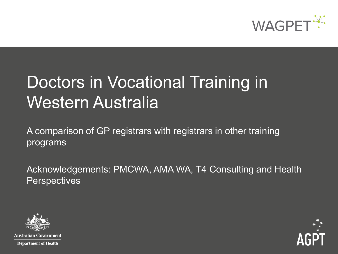

# Doctors in Vocational Training in Western Australia

A comparison of GP registrars with registrars in other training programs

Acknowledgements: PMCWA, AMA WA, T4 Consulting and Health **Perspectives** 



**Australian Government Department of Health** 

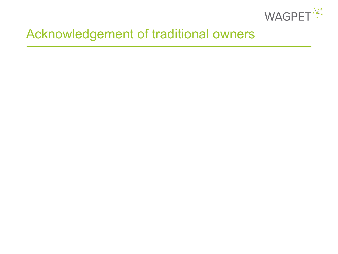

# Acknowledgement of traditional owners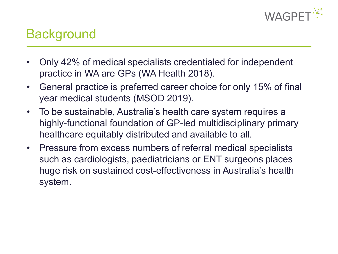

# **Background**

- Only 42% of medical specialists credentialed for independent practice in WA are GPs (WA Health 2018).
- General practice is preferred career choice for only 15% of final year medical students (MSOD 2019).
- To be sustainable, Australia's health care system requires a highly-functional foundation of GP-led multidisciplinary primary healthcare equitably distributed and available to all.
- Pressure from excess numbers of referral medical specialists such as cardiologists, paediatricians or ENT surgeons places huge risk on sustained cost-effectiveness in Australia's health system.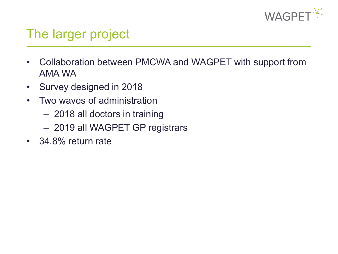

# The larger project

- Collaboration between PMCWA and WAGPET with support from AMA WA
- Survey designed in 2018
- Two waves of administration
	- 2018 all doctors in training
	- 2019 all WAGPET GP registrars
- 34.8% return rate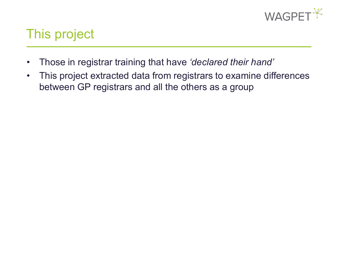

# This project

- Those in registrar training that have *'declared their hand'*
- This project extracted data from registrars to examine differences between GP registrars and all the others as a group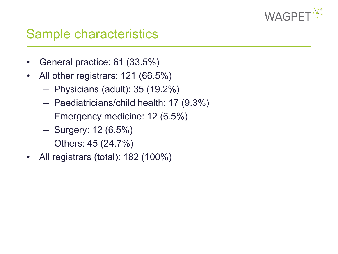

## Sample characteristics

- General practice: 61 (33.5%)
- All other registrars: 121 (66.5%)
	- Physicians (adult): 35 (19.2%)
	- Paediatricians/child health: 17 (9.3%)
	- Emergency medicine: 12 (6.5%)
	- Surgery: 12 (6.5%)
	- Others: 45 (24.7%)
- All registrars (total): 182 (100%)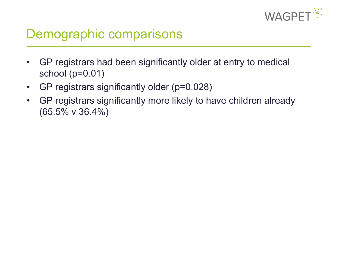

# Demographic comparisons

- GP registrars had been significantly older at entry to medical school (p=0.01)
- GP registrars significantly older (p=0.028)
- GP registrars significantly more likely to have children already (65.5% v 36.4%)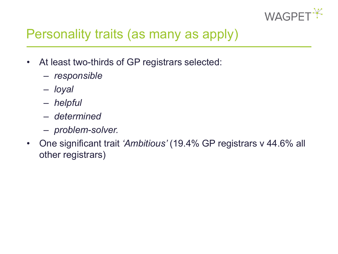

# Personality traits (as many as apply)

- At least two-thirds of GP registrars selected:
	- *responsible*
	- *loyal*
	- *helpful*
	- *determined*
	- *problem-solver.*
- One significant trait *'Ambitious'* (19.4% GP registrars v 44.6% all other registrars)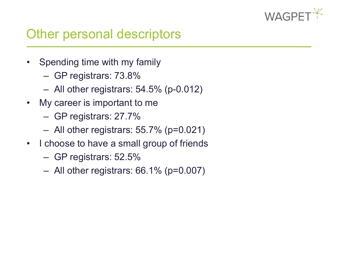

## Other personal descriptors

- Spending time with my family
	- GP registrars: 73.8%
	- All other registrars: 54.5% (p-0.012)
- My career is important to me
	- GP registrars: 27.7%
	- $-$  All other registrars: 55.7% ( $p=0.021$ )
- I choose to have a small group of friends
	- GP registrars: 52.5%
	- All other registrars: 66.1% (p=0.007)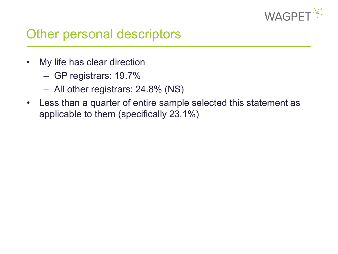

## Other personal descriptors

- My life has clear direction
	- GP registrars: 19.7%
	- All other registrars: 24.8% (NS)
- Less than a quarter of entire sample selected this statement as applicable to them (specifically 23.1%)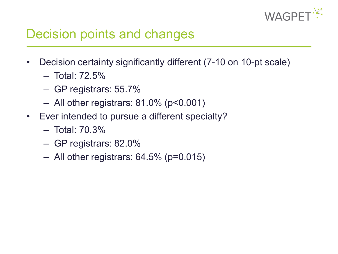

## Decision points and changes

- Decision certainty significantly different (7-10 on 10-pt scale)
	- Total: 72.5%
	- GP registrars: 55.7%
	- All other registrars: 81.0% (p<0.001)
- Ever intended to pursue a different specialty?
	- Total: 70.3%
	- GP registrars: 82.0%
	- $-$  All other registrars: 64.5% (p=0.015)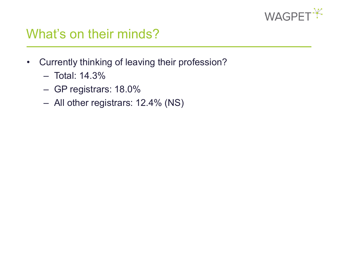

## What's on their minds?

- Currently thinking of leaving their profession?
	- Total: 14.3%
	- GP registrars: 18.0%
	- All other registrars: 12.4% (NS)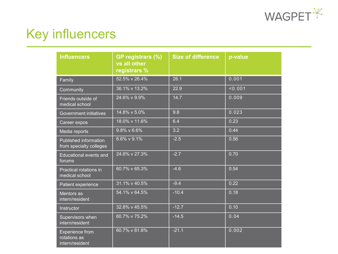

# Key influencers

| <b>Influencers</b>                                        | GP registrars (%)<br>vs all other<br>registrars% | <b>Size of difference</b> | p-value |
|-----------------------------------------------------------|--------------------------------------------------|---------------------------|---------|
| Family                                                    | 52.5% v 26.4%                                    | 26.1                      | 0.001   |
| Community                                                 | 36.1% v 13.2%                                    | 22.9                      | 0.001   |
| Friends outside of<br>medical school                      | 24.6% v 9.9%                                     | 14.7                      | 0.009   |
| <b>Government initiatives</b>                             | 14.8% v 5.0%                                     | 9.8                       | 0.023   |
| Career expos                                              | 18.0% v 11.6%                                    | 6.4                       | 0.23    |
| Media reports                                             | 9.8% v 6.6%                                      | 3.2                       | 0.44    |
| Published information<br>from specialty colleges          | 6.6% v 9.1%                                      | $-2.5$                    | 0.56    |
| Educational events and<br>forums                          | 24.6% v 27.3%                                    | $-2.7$                    | 0.70    |
| Practical rotations in<br>medical school                  | 60.7% v 65.3%                                    | $-4.6$                    | 0.54    |
| Patient experience                                        | 31.1% v 40.5%                                    | $-9.4$                    | 0.22    |
| Mentors as<br>intern/resident                             | 54.1% v 64.5%                                    | $-10.4$                   | 0.18    |
| Instructor                                                | 32.8% v 45.5%                                    | $-12.7$                   | 0.10    |
| Supervisors when<br>intern/resident                       | 60.7% v 75.2%                                    | $-14.5$                   | 0.04    |
| <b>Experience from</b><br>rotations as<br>intern/resident | 60.7% v 81.8%                                    | $-21.1$                   | 0.002   |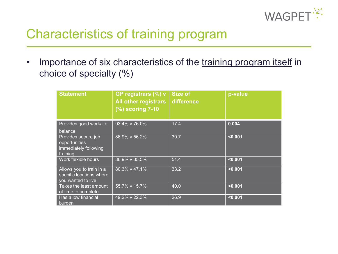

# Characteristics of training program

• Importance of six characteristics of the training program itself in choice of specialty (%)

| <b>Statement</b>                                                           | GP registrars (%) v<br><b>All other registrars</b><br>$(%)$ scoring 7-10 | Size of<br>difference | p-value |
|----------------------------------------------------------------------------|--------------------------------------------------------------------------|-----------------------|---------|
| Provides good work/life<br>balance                                         | 93.4% v 76.0%                                                            | 17.4                  | 0.004   |
| Provides secure job<br>opportunities<br>immediately following<br>training  | 86.9% v 56.2%                                                            | 30.7                  | < 0.001 |
| Work flexible hours                                                        | 86.9% v 35.5%                                                            | 51.4                  | < 0.001 |
| Allows you to train in a<br>specific locations where<br>you wanted to live | 80.3% v 47.1%                                                            | 33.2                  | < 0.001 |
| Takes the least amount<br>of time to complete                              | 55.7% v 15.7%                                                            | 40.0                  | < 0.001 |
| Has a low financial<br>burden                                              | 49.2% v 22.3%                                                            | 26.9                  | < 0.001 |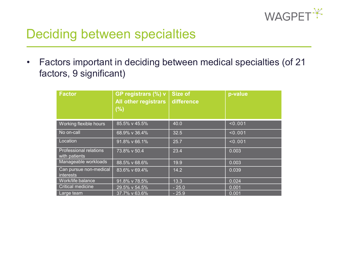

# Deciding between specialties

• Factors important in deciding between medical specialties (of 21 factors, 9 significant)

| <b>Factor</b>                                  | GP registrars (%) v<br><b>All other registrars</b><br>(% ) | <b>Size of</b><br>difference | p-value |
|------------------------------------------------|------------------------------------------------------------|------------------------------|---------|
| Working flexible hours                         | 85.5% v 45.5%                                              | 40.0                         | < 0.001 |
| No on-call                                     | 68.9% v 36.4%                                              | 32.5                         | < 0.001 |
| Location                                       | 91.8% v 66.1%                                              | 25.7                         | < 0.001 |
| <b>Professional relations</b><br>with patients | 73.8% v 50.4                                               | 23.4                         | 0.003   |
| Manageable workloads                           | 88.5% v 68.6%                                              | 19.9                         | 0.003   |
| Can pursue non-medical<br><i>interests</i>     | 83.6% v 69.4%                                              | 14.2                         | 0.039   |
| Work/life balance                              | 91.8% v 78.5%                                              | 13.3                         | 0.024   |
| Critical medicine                              | 29.5% v 54.5%                                              | $-25.0$                      | 0.001   |
| Large team                                     | 37.7% v 63.6%                                              | $-25.9$                      | 0.001   |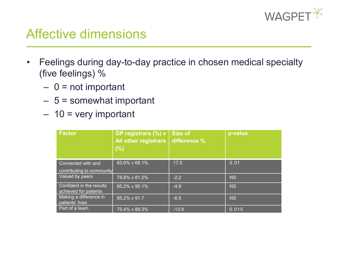

## Affective dimensions

- Feelings during day-to-day practice in chosen medical specialty (five feelings) %
	- $0$  = not important
	- $-5$  = somewhat important
	- $-10$  = very important

| <b>Factor</b>                                     | GP registrars (%) v<br><b>All other registrars</b><br>(% ) | <b>Size of</b><br>difference % | p-value   |
|---------------------------------------------------|------------------------------------------------------------|--------------------------------|-----------|
| Connected with and<br>contributing to community   | 83.6% v 66.1%                                              | 17.5                           | 0.01      |
| Valued by peers                                   | 78.8% v 81.0%                                              | $-2.2$                         | <b>NS</b> |
| Confident in the results<br>achieved for patients | 85.2% v 90.1%                                              | $-4.9$                         | <b>NS</b> |
| Making a difference in<br>patients' lives         | 85.2% v 91.7                                               | $-6.5$                         | <b>NS</b> |
| Part of a team                                    | 75.4% v 89.3%                                              | $-13.9$                        | 0.015     |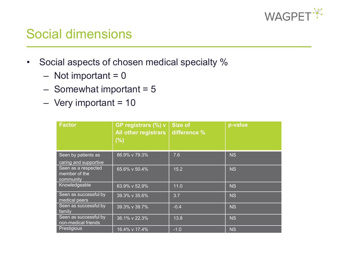

## Social dimensions

- Social aspects of chosen medical specialty %
	- $-$  Not important = 0
	- $-$  Somewhat important = 5
	- $-$  Very important = 10

| <b>Factor</b>                                     | GP registrars (%) v<br><b>All other registrars</b><br>(%) | <b>Size of</b><br>difference % | p-value   |
|---------------------------------------------------|-----------------------------------------------------------|--------------------------------|-----------|
| Seen by patients as<br>caring and supportive      | 86.9% v 79.3%                                             | 7.6                            | <b>NS</b> |
| Seen as a respected<br>member of the<br>community | 65.6% v 50.4%                                             | 15.2                           | <b>NS</b> |
| Knowledgeable                                     | 63.9% v 52,9%                                             | 11.0                           | <b>NS</b> |
| Seen as successful by<br>medical peers            | 39.3% v 35.6%                                             | 3.7                            | <b>NS</b> |
| Seen as successful by<br>family                   | 39.3% v 39.7%                                             | $-0.4$                         | <b>NS</b> |
| Seen as successful by<br>non-medical friends      | 36.1% v 22.3%                                             | 13.8                           | <b>NS</b> |
| Prestigious                                       | 16.4% v 17.4%                                             | $-1.0$                         | <b>NS</b> |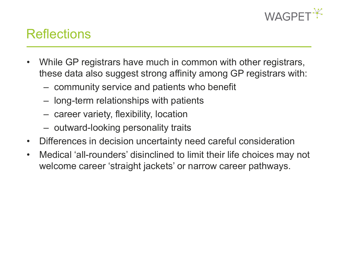

## **Reflections**

- While GP registrars have much in common with other registrars, these data also suggest strong affinity among GP registrars with:
	- community service and patients who benefit
	- long-term relationships with patients
	- career variety, flexibility, location
	- outward-looking personality traits
- Differences in decision uncertainty need careful consideration
- Medical 'all-rounders' disinclined to limit their life choices may not welcome career 'straight jackets' or narrow career pathways.